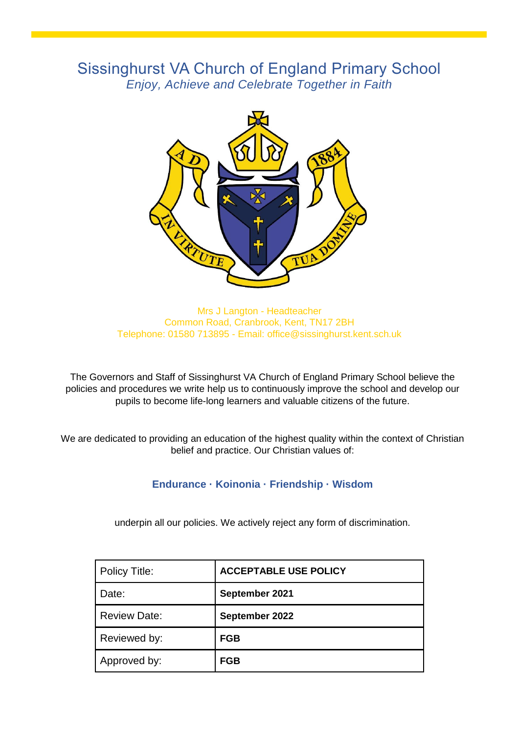# Sissinghurst VA Church of England Primary School *Enjoy, Achieve and Celebrate Together in Faith*



Mrs J Langton - Headteacher Common Road, Cranbrook, Kent, TN17 2BH Telephone: 01580 713895 - Email: office@sissinghurst.kent.sch.uk

The Governors and Staff of Sissinghurst VA Church of England Primary School believe the policies and procedures we write help us to continuously improve the school and develop our pupils to become life-long learners and valuable citizens of the future.

We are dedicated to providing an education of the highest quality within the context of Christian belief and practice. Our Christian values of:

### **Endurance · Koinonia · Friendship · Wisdom**

underpin all our policies. We actively reject any form of discrimination.

| Policy Title:       | <b>ACCEPTABLE USE POLICY</b> |
|---------------------|------------------------------|
| Date:               | September 2021               |
| <b>Review Date:</b> | September 2022               |
| Reviewed by:        | <b>FGB</b>                   |
| Approved by:        | <b>FGB</b>                   |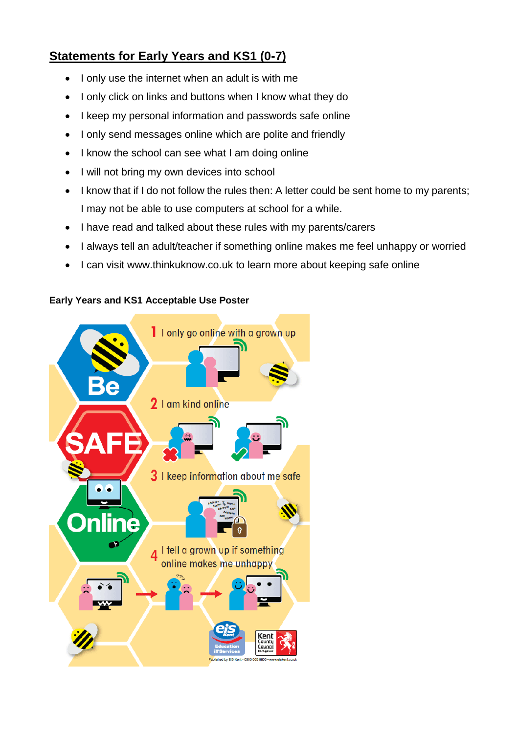## **Statements for Early Years and KS1 (0-7)**

- I only use the internet when an adult is with me
- I only click on links and buttons when I know what they do
- I keep my personal information and passwords safe online
- I only send messages online which are polite and friendly
- I know the school can see what I am doing online
- I will not bring my own devices into school
- I know that if I do not follow the rules then: A letter could be sent home to my parents; I may not be able to use computers at school for a while.
- I have read and talked about these rules with my parents/carers
- I always tell an adult/teacher if something online makes me feel unhappy or worried
- I can visit www.thinkuknow.co.uk to learn more about keeping safe online

### **Early Years and KS1 Acceptable Use Poster**

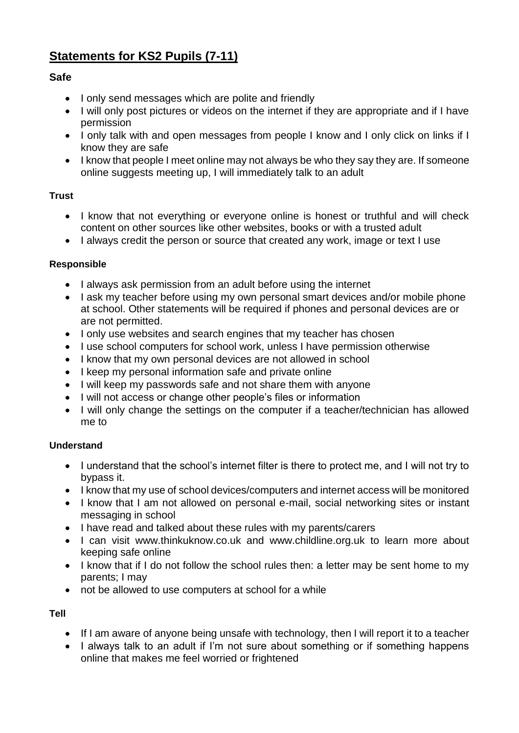# **Statements for KS2 Pupils (7-11)**

## **Safe**

- I only send messages which are polite and friendly
- I will only post pictures or videos on the internet if they are appropriate and if I have permission
- I only talk with and open messages from people I know and I only click on links if I know they are safe
- I know that people I meet online may not always be who they say they are. If someone online suggests meeting up, I will immediately talk to an adult

### **Trust**

- I know that not everything or everyone online is honest or truthful and will check content on other sources like other websites, books or with a trusted adult
- I always credit the person or source that created any work, image or text I use

### **Responsible**

- I always ask permission from an adult before using the internet
- I ask my teacher before using my own personal smart devices and/or mobile phone at school. Other statements will be required if phones and personal devices are or are not permitted.
- I only use websites and search engines that my teacher has chosen
- I use school computers for school work, unless I have permission otherwise
- I know that my own personal devices are not allowed in school
- I keep my personal information safe and private online
- I will keep my passwords safe and not share them with anyone
- I will not access or change other people's files or information
- I will only change the settings on the computer if a teacher/technician has allowed me to

### **Understand**

- I understand that the school's internet filter is there to protect me, and I will not try to bypass it.
- I know that my use of school devices/computers and internet access will be monitored
- I know that I am not allowed on personal e-mail, social networking sites or instant messaging in school
- I have read and talked about these rules with my parents/carers
- I can visit www.thinkuknow.co.uk and www.childline.org.uk to learn more about keeping safe online
- I know that if I do not follow the school rules then: a letter may be sent home to my parents; I may
- not be allowed to use computers at school for a while

**Tell**

- If I am aware of anyone being unsafe with technology, then I will report it to a teacher
- I always talk to an adult if I'm not sure about something or if something happens online that makes me feel worried or frightened